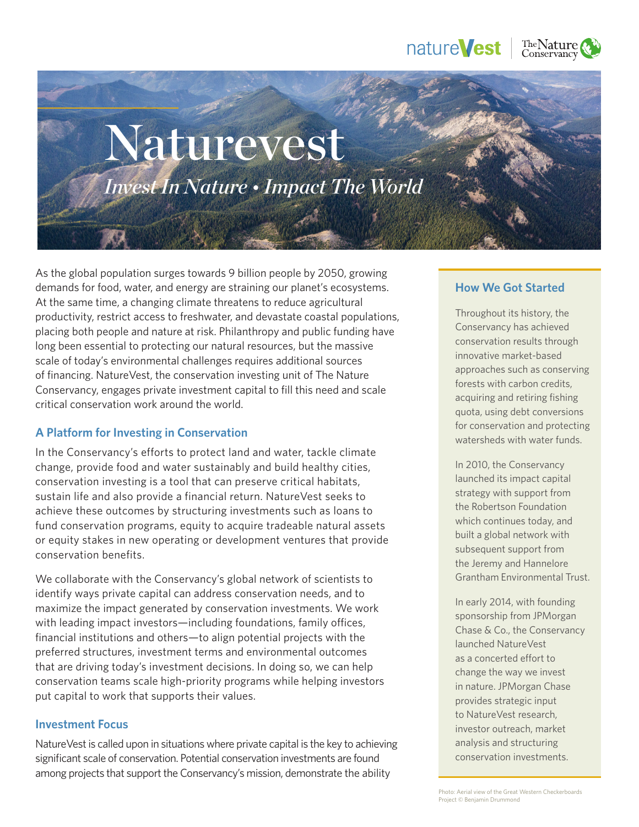# nature**Vest**



# Naturevest *Invest In Nature • Impact The World*

As the global population surges towards 9 billion people by 2050, growing demands for food, water, and energy are straining our planet's ecosystems. At the same time, a changing climate threatens to reduce agricultural productivity, restrict access to freshwater, and devastate coastal populations, placing both people and nature at risk. Philanthropy and public funding have long been essential to protecting our natural resources, but the massive scale of today's environmental challenges requires additional sources of financing. NatureVest, the conservation investing unit of The Nature Conservancy, engages private investment capital to fill this need and scale critical conservation work around the world.

# **A Platform for Investing in Conservation**

In the Conservancy's efforts to protect land and water, tackle climate change, provide food and water sustainably and build healthy cities, conservation investing is a tool that can preserve critical habitats, sustain life and also provide a financial return. NatureVest seeks to achieve these outcomes by structuring investments such as loans to fund conservation programs, equity to acquire tradeable natural assets or equity stakes in new operating or development ventures that provide conservation benefits.

We collaborate with the Conservancy's global network of scientists to identify ways private capital can address conservation needs, and to maximize the impact generated by conservation investments. We work with leading impact investors—including foundations, family offices, financial institutions and others—to align potential projects with the preferred structures, investment terms and environmental outcomes that are driving today's investment decisions. In doing so, we can help conservation teams scale high-priority programs while helping investors put capital to work that supports their values.

### **Investment Focus**

NatureVest is called upon in situations where private capital is the key to achieving significant scale of conservation. Potential conservation investments are found among projects that support the Conservancy's mission, demonstrate the ability

## **How We Got Started**

Throughout its history, the Conservancy has achieved conservation results through innovative market-based approaches such as conserving forests with carbon credits, acquiring and retiring fishing quota, using debt conversions for conservation and protecting watersheds with water funds.

In 2010, the Conservancy launched its impact capital strategy with support from the Robertson Foundation which continues today, and built a global network with subsequent support from the Jeremy and Hannelore Grantham Environmental Trust.

In early 2014, with founding sponsorship from JPMorgan Chase & Co., the Conservancy launched NatureVest as a concerted effort to change the way we invest in nature. JPMorgan Chase provides strategic input to NatureVest research, investor outreach, market analysis and structuring conservation investments.